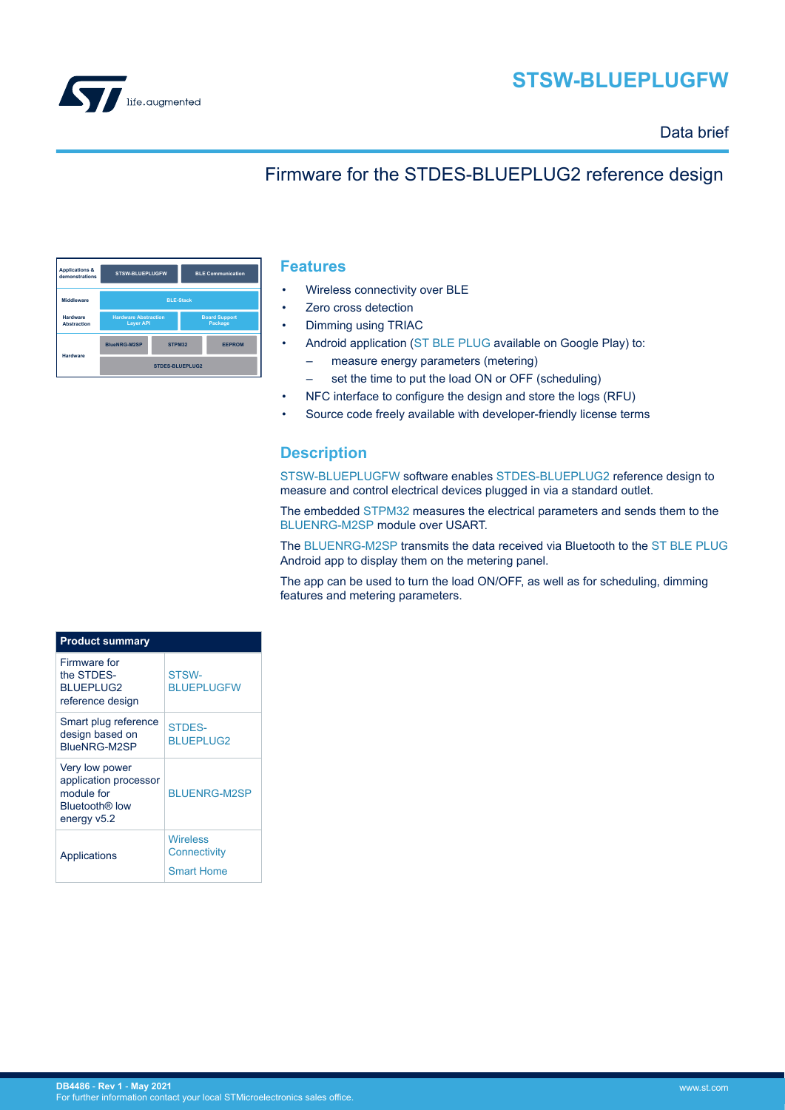



## Data brief

# Firmware for the STDES-BLUEPLUG2 reference design

| <b>Applications &amp;</b><br>demonstrations | <b>STSW-BLUEPLUGFW</b>                          |        | <b>BLE Communication</b>        |               |  |
|---------------------------------------------|-------------------------------------------------|--------|---------------------------------|---------------|--|
| Middleware                                  | <b>BLE-Stack</b>                                |        |                                 |               |  |
| Hardware<br><b>Abstraction</b>              | <b>Hardware Abstraction</b><br><b>Layer API</b> |        | <b>Board Support</b><br>Package |               |  |
| Hardware                                    | <b>BlueNRG-M2SP</b>                             | STPM32 |                                 | <b>EEPROM</b> |  |
|                                             | <b>STDES-BLUEPLUG2</b>                          |        |                                 |               |  |

### **Features**

- Wireless connectivity over BLE
- Zero cross detection
- Dimming using TRIAC
- Android application [\(ST BLE PLUG](https://play.google.com/store/apps/details?id=com.st.bleplug&hl=en_IN&gl=US) available on Google Play) to:
	- measure energy parameters (metering)
	- set the time to put the load ON or OFF (scheduling)
- NFC interface to configure the design and store the logs (RFU)
- Source code freely available with developer-friendly license terms

## **Description**

[STSW-BLUEPLUGFW](https://www.st.com/en/product/STSW-BLUEPLUGFW?ecmp=tt9470_gl_link_feb2019&rt=db&id=DB4486) software enables [STDES-BLUEPLUG2](https://www.st.com/en/product/STDES-BLUEPLUG2?ecmp=tt9470_gl_link_feb2019&rt=db&id=DB4486) reference design to measure and control electrical devices plugged in via a standard outlet.

The embedded [STPM32](https://www.st.com/en/product/stpm32?ecmp=tt9470_gl_link_feb2019&rt=db&id=DB4486) measures the electrical parameters and sends them to the [BLUENRG-M2SP](https://www.st.com/en/product/BlueNRG-M2?ecmp=tt9470_gl_link_feb2019&rt=db&id=DB4486) module over USART.

The [BLUENRG-M2SP](https://www.st.com/en/product/BlueNRG-M2?ecmp=tt9470_gl_link_feb2019&rt=db&id=DB4486) transmits the data received via Bluetooth to the [ST BLE PLUG](https://play.google.com/store/apps/details?id=com.st.bleplug&hl=en_IN&gl=US) Android app to display them on the metering panel.

The app can be used to turn the load ON/OFF, as well as for scheduling, dimming features and metering parameters.

| <b>Product summary</b>                                                                             |                                                      |  |  |
|----------------------------------------------------------------------------------------------------|------------------------------------------------------|--|--|
| Firmware for<br>the STDES-<br><b>BLUEPLUG2</b><br>reference design                                 | STSW-<br><b>BLUEPLUGFW</b>                           |  |  |
| Smart plug reference<br>design based on<br>BlueNRG-M2SP                                            | STDES-<br><b>BLUEPLUG2</b>                           |  |  |
| Very low power<br>application processor<br>module for<br>Bluetooth <sup>®</sup> low<br>energy v5.2 | <b>BLUENRG-M2SP</b>                                  |  |  |
| Applications                                                                                       | <b>Wireless</b><br>Connectivity<br><b>Smart Home</b> |  |  |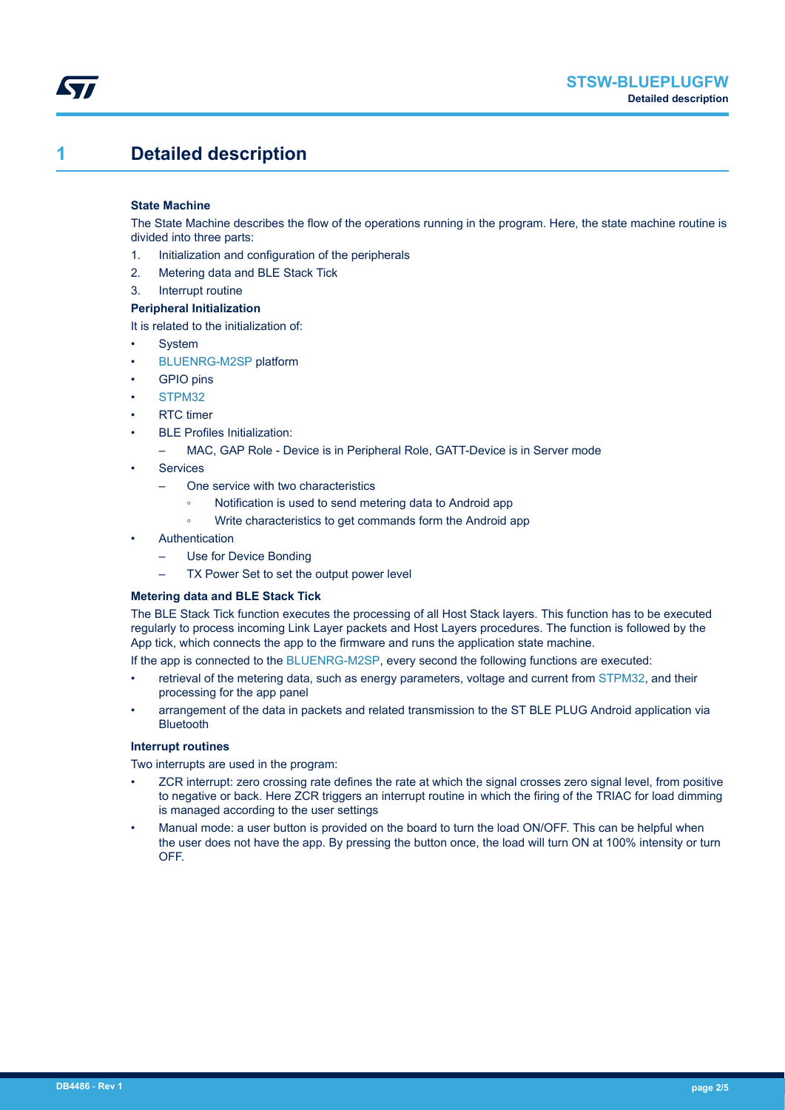# **1 Detailed description**

#### **State Machine**

The State Machine describes the flow of the operations running in the program. Here, the state machine routine is divided into three parts:

- 1. Initialization and configuration of the peripherals
- 2. Metering data and BLE Stack Tick
- 3. Interrupt routine

#### **Peripheral Initialization**

It is related to the initialization of:

- **System**
- [BLUENRG-M2SP](https://www.st.com/en/product/BlueNRG-M2?ecmp=tt9470_gl_link_feb2019&rt=db&id=DB4486) platform
- **GPIO** pins
- [STPM32](https://www.st.com/en/product/stpm32?ecmp=tt9470_gl_link_feb2019&rt=db&id=DB4486)
- RTC timer
- **BLE Profiles Initialization:** 
	- MAC, GAP Role Device is in Peripheral Role, GATT-Device is in Server mode
- **Services** 
	- One service with two characteristics
		- Notification is used to send metering data to Android app
		- Write characteristics to get commands form the Android app
- **Authentication** 
	- Use for Device Bonding
	- TX Power Set to set the output power level

#### **Metering data and BLE Stack Tick**

The BLE Stack Tick function executes the processing of all Host Stack layers. This function has to be executed regularly to process incoming Link Layer packets and Host Layers procedures. The function is followed by the App tick, which connects the app to the firmware and runs the application state machine.

If the app is connected to the [BLUENRG-M2SP](https://www.st.com/en/product/BlueNRG-M2?ecmp=tt9470_gl_link_feb2019&rt=db&id=DB4486), every second the following functions are executed:

- retrieval of the metering data, such as energy parameters, voltage and current from [STPM32](https://www.st.com/en/product/stpm32?ecmp=tt9470_gl_link_feb2019&rt=db&id=DB4486), and their processing for the app panel
- arrangement of the data in packets and related transmission to the ST BLE PLUG Android application via Bluetooth

#### **Interrupt routines**

Two interrupts are used in the program:

- ZCR interrupt: zero crossing rate defines the rate at which the signal crosses zero signal level, from positive to negative or back. Here ZCR triggers an interrupt routine in which the firing of the TRIAC for load dimming is managed according to the user settings
- Manual mode: a user button is provided on the board to turn the load ON/OFF. This can be helpful when the user does not have the app. By pressing the button once, the load will turn ON at 100% intensity or turn OFF.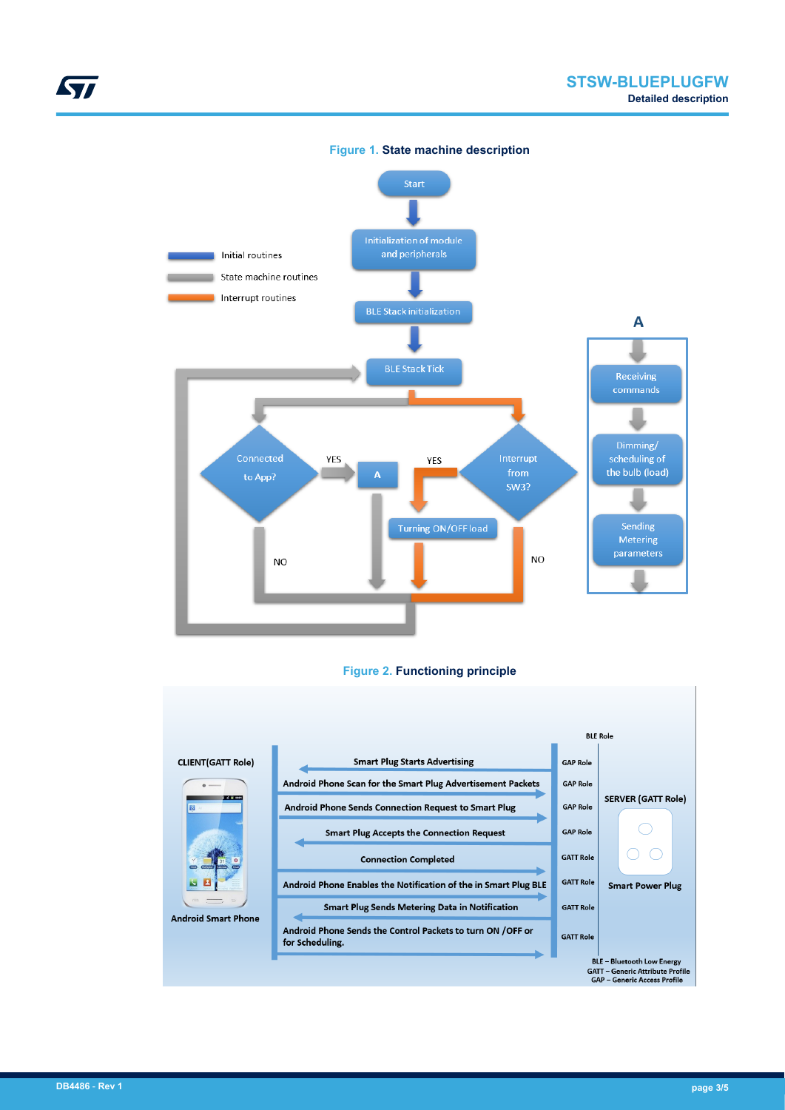



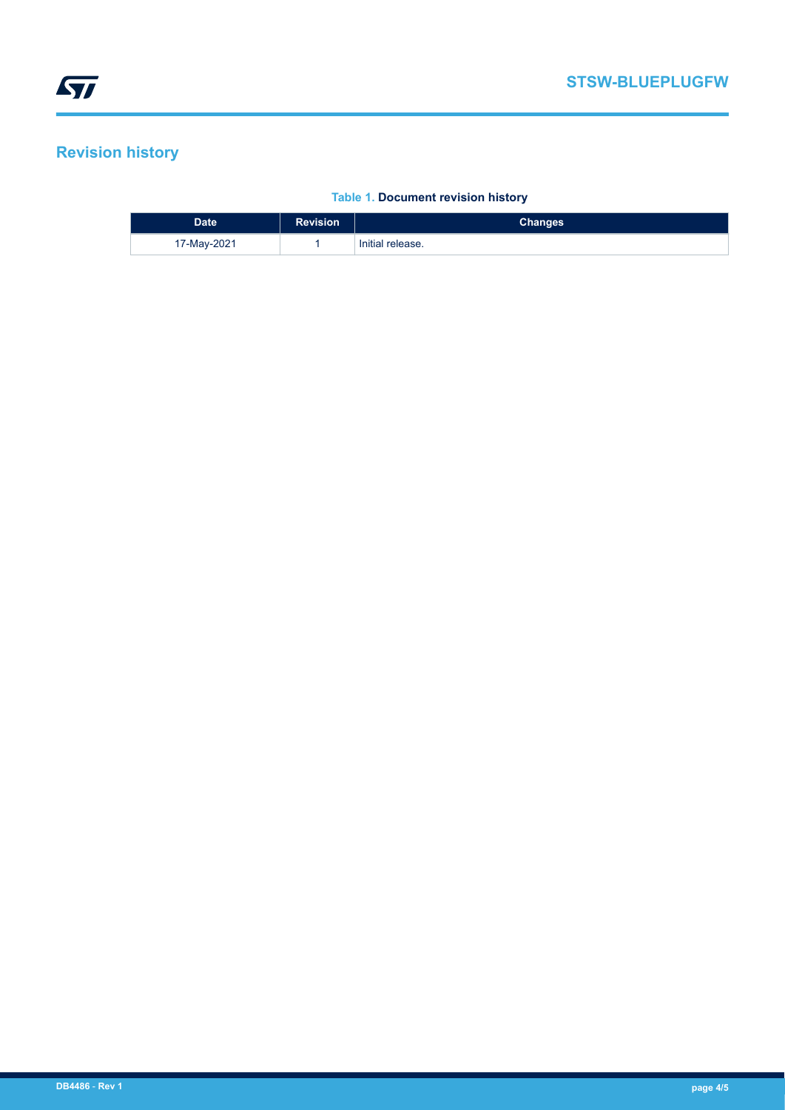# **Revision history**

## **Table 1. Document revision history**

| <b>Date</b> | <b>Revision</b> | Changes          |
|-------------|-----------------|------------------|
| 17-May-2021 |                 | Initial release. |